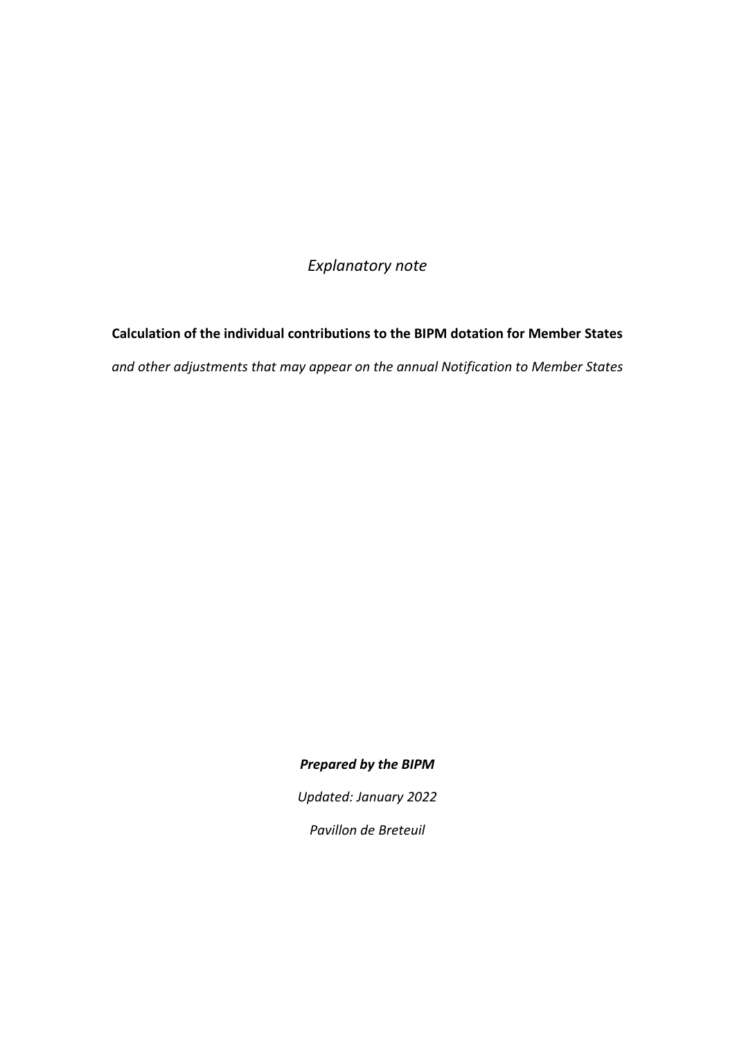*Explanatory note*

**Calculation of the individual contributions to the BIPM dotation for Member States** *and other adjustments that may appear on the annual Notification to Member States*

*Prepared by the BIPM*

*Updated: January 2022*

*Pavillon de Breteuil*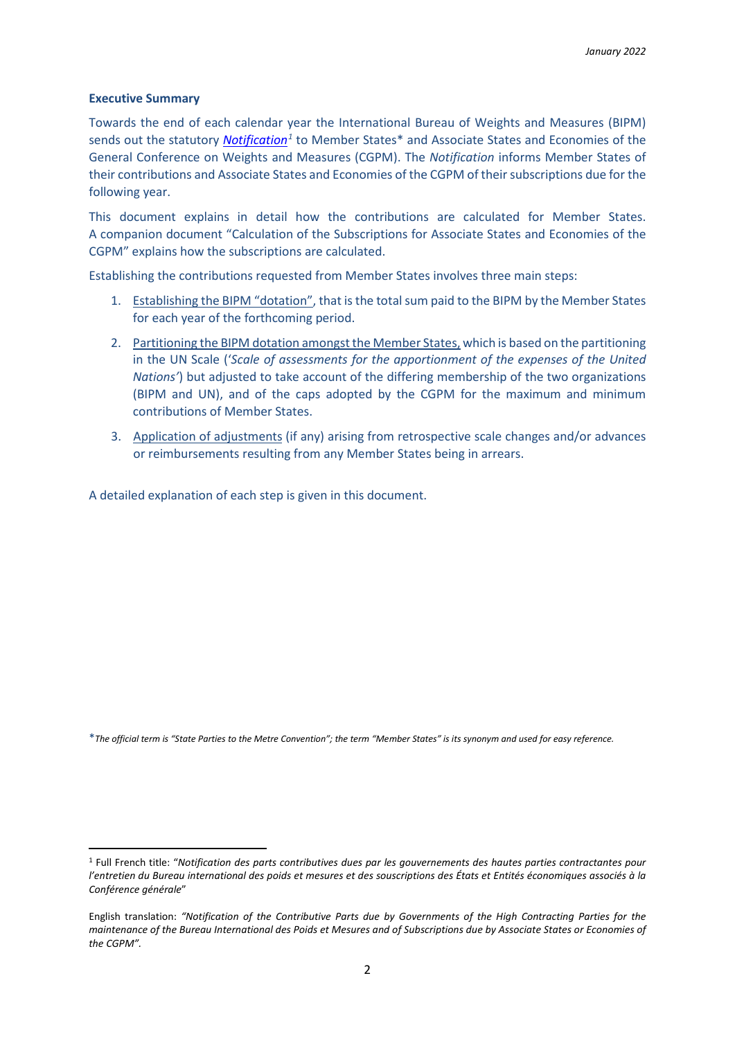## **Executive Summary**

Towards the end of each calendar year the International Bureau of Weights and Measures (BIPM) sends out the statutory *[Notification](https://www.bipm.org/en/publications/notification)[1](#page-1-0)* to Member States\* and Associate States and Economies of the General Conference on Weights and Measures (CGPM). The *Notification* informs Member States of their contributions and Associate States and Economies of the CGPM of their subscriptions due for the following year.

This document explains in detail how the contributions are calculated for Member States. A companion document "Calculation of the Subscriptions for Associate States and Economies of the CGPM" explains how the subscriptions are calculated.

Establishing the contributions requested from Member States involves three main steps:

- 1. Establishing the BIPM "dotation", that is the total sum paid to the BIPM by the Member States for each year of the forthcoming period.
- 2. Partitioning the BIPM dotation amongst the Member States, which is based on the partitioning in the UN Scale ('*Scale of assessments for the apportionment of the expenses of the United Nations'*) but adjusted to take account of the differing membership of the two organizations (BIPM and UN), and of the caps adopted by the CGPM for the maximum and minimum contributions of Member States.
- 3. Application of adjustments (if any) arising from retrospective scale changes and/or advances or reimbursements resulting from any Member States being in arrears.

A detailed explanation of each step is given in this document.

\**The official term is "State Parties to the Metre Convention"; the term "Member States" is its synonym and used for easy reference.*

<span id="page-1-0"></span><sup>1</sup> Full French title: "*Notification des parts contributives dues par les gouvernements des hautes parties contractantes pour l'entretien du Bureau international des poids et mesures et des souscriptions des États et Entités économiques associés à la Conférence générale*"

English translation: *"Notification of the Contributive Parts due by Governments of the High Contracting Parties for the maintenance of the Bureau International des Poids et Mesures and of Subscriptions due by Associate States or Economies of the CGPM".*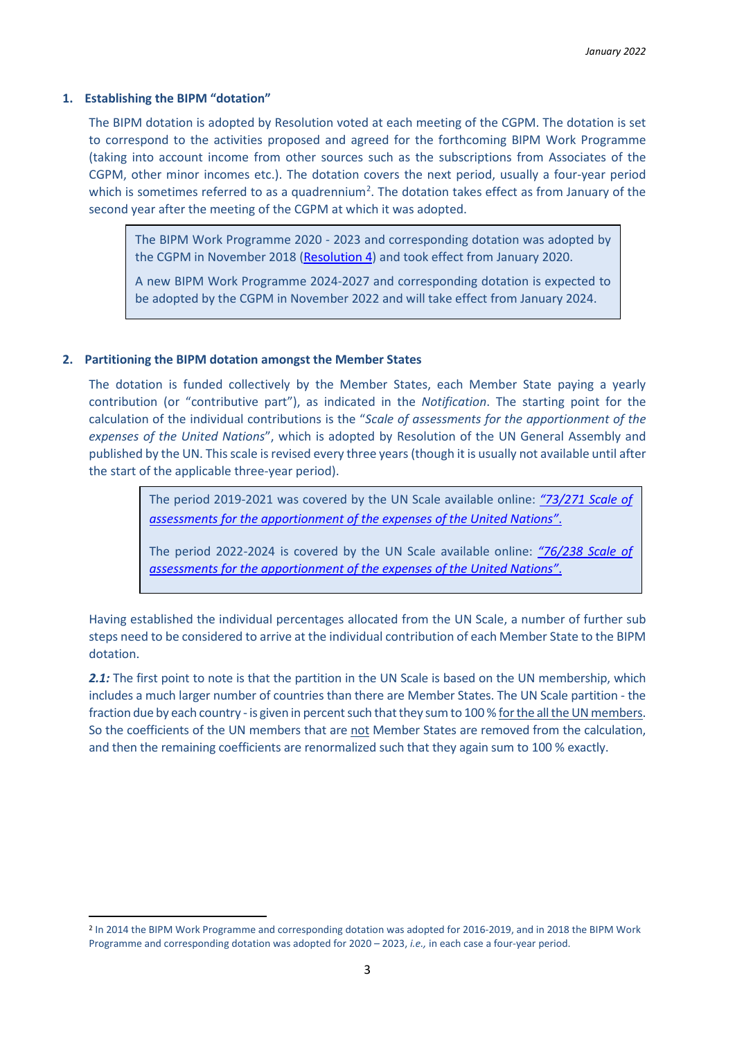## **1. Establishing the BIPM "dotation"**

The BIPM dotation is adopted by Resolution voted at each meeting of the CGPM. The dotation is set to correspond to the activities proposed and agreed for the forthcoming BIPM Work Programme (taking into account income from other sources such as the subscriptions from Associates of the CGPM, other minor incomes etc.). The dotation covers the next period, usually a four-year period which is sometimes referred to as a quadrennium<sup>[2](#page-2-0)</sup>. The dotation takes effect as from January of the second year after the meeting of the CGPM at which it was adopted.

The BIPM Work Programme 2020 - 2023 and corresponding dotation was adopted by the CGPM in November 2018 [\(Resolution 4\)](https://www.bipm.org/en/committees/cg/cgpm/26-2018/resolution-4) and took effect from January 2020.

A new BIPM Work Programme 2024-2027 and corresponding dotation is expected to be adopted by the CGPM in November 2022 and will take effect from January 2024.

## **2. Partitioning the BIPM dotation amongst the Member States**

The dotation is funded collectively by the Member States, each Member State paying a yearly contribution (or "contributive part"), as indicated in the *Notification*. The starting point for the calculation of the individual contributions is the "*Scale of assessments for the apportionment of the expenses of the United Nations*", which is adopted by Resolution of the UN General Assembly and published by the UN. This scale is revised every three years (though it is usually not available until after the start of the applicable three-year period).

> The period 2019-2021 was covered by the UN Scale available online: *["73/271 Scale of](http://undocs.org/en/A/RES/73/271)  [assessments for the apportionment of the expenses of the United Nations"](http://undocs.org/en/A/RES/73/271)*.

> The period 2022-2024 is covered by the UN Scale available online: *"76/238 [Scale of](https://undocs.org/en/A/RES/76/238)  [assessments for the apportionment of the expenses of the United Nations"](https://undocs.org/en/A/RES/76/238)*.

Having established the individual percentages allocated from the UN Scale, a number of further sub steps need to be considered to arrive at the individual contribution of each Member State to the BIPM dotation.

2.1: The first point to note is that the partition in the UN Scale is based on the UN membership, which includes a much larger number of countries than there are Member States. The UN Scale partition - the fraction due by each country - is given in percent such that they sum to 100 % for the all the UN members. So the coefficients of the UN members that are not Member States are removed from the calculation, and then the remaining coefficients are renormalized such that they again sum to 100 % exactly.

<span id="page-2-0"></span><sup>2</sup> In 2014 the BIPM Work Programme and corresponding dotation was adopted for 2016-2019, and in 2018 the BIPM Work Programme and corresponding dotation was adopted for 2020 – 2023, *i.e.,* in each case a four-year period.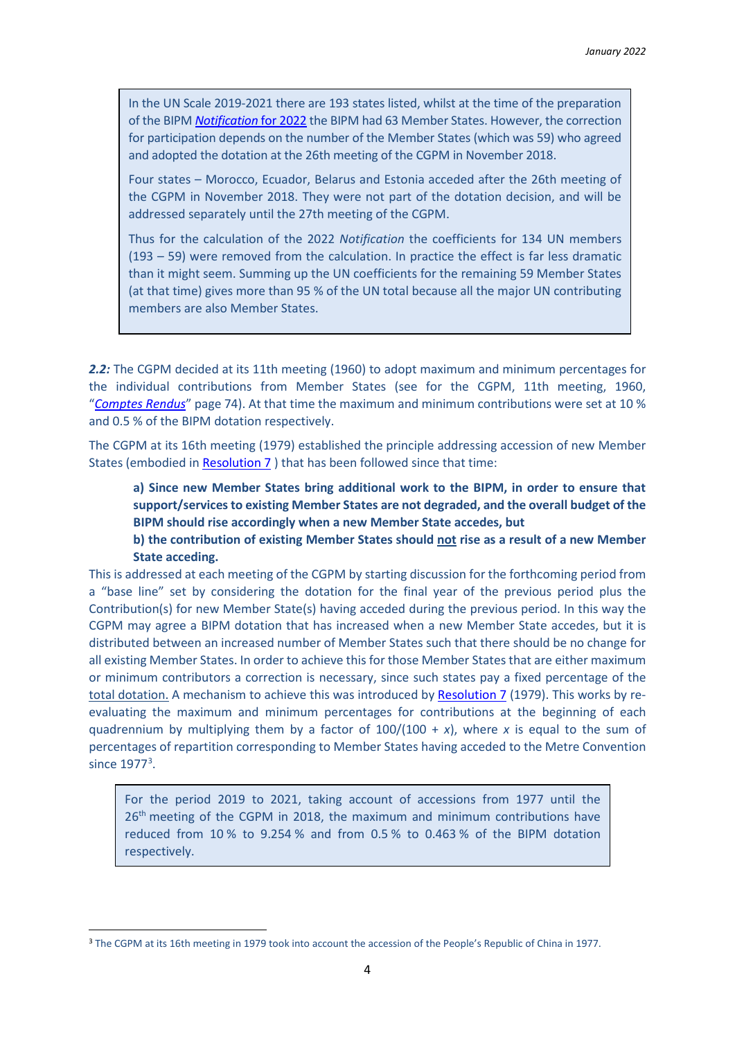In the UN Scale 2019-2021 there are 193 states listed, whilst at the time of the preparation of the BIPM *[Notification](https://www.bipm.org/en/publications/notification)* for 2022 the BIPM had 63 Member States. However, the correction for participation depends on the number of the Member States (which was 59) who agreed and adopted the dotation at the 26th meeting of the CGPM in November 2018.

Four states – Morocco, Ecuador, Belarus and Estonia acceded after the 26th meeting of the CGPM in November 2018. They were not part of the dotation decision, and will be addressed separately until the 27th meeting of the CGPM.

Thus for the calculation of the 2022 *Notification* the coefficients for 134 UN members (193 – 59) were removed from the calculation. In practice the effect is far less dramatic than it might seem. Summing up the UN coefficients for the remaining 59 Member States (at that time) gives more than 95 % of the UN total because all the major UN contributing members are also Member States.

2.2: The CGPM decided at its 11th meeting (1960) to adopt maximum and minimum percentages for the individual contributions from Member States (see for the CGPM, 11th meeting, 1960, "*[Comptes Rendus](https://www.bipm.org/documents/20126/33145685/CGPM11.pdf/c626e1d6-4320-56d3-db37-c6f2a343483b)*" page 74). At that time the maximum and minimum contributions were set at 10 % and 0.5 % of the BIPM dotation respectively.

The CGPM at its 16th meeting (1979) established the principle addressing accession of new Member States (embodied in [Resolution 7](https://www.bipm.org/en/committees/cg/cgpm/16-1979/resolution-7) ) that has been followed since that time:

**a) Since new Member States bring additional work to the BIPM, in order to ensure that support/services to existing Member States are not degraded, and the overall budget of the BIPM should rise accordingly when a new Member State accedes, but**

**b) the contribution of existing Member States should not rise as a result of a new Member State acceding.**

This is addressed at each meeting of the CGPM by starting discussion for the forthcoming period from a "base line" set by considering the dotation for the final year of the previous period plus the Contribution(s) for new Member State(s) having acceded during the previous period. In this way the CGPM may agree a BIPM dotation that has increased when a new Member State accedes, but it is distributed between an increased number of Member States such that there should be no change for all existing Member States. In order to achieve this for those Member States that are either maximum or minimum contributors a correction is necessary, since such states pay a fixed percentage of the total dotation. A mechanism to achieve this was introduced b[y Resolution 7](https://www.bipm.org/en/committees/cg/cgpm/16-1979/resolution-7) (1979). This works by reevaluating the maximum and minimum percentages for contributions at the beginning of each quadrennium by multiplying them by a factor of  $100/(100 + x)$ , where *x* is equal to the sum of percentages of repartition corresponding to Member States having acceded to the Metre Convention since 1977<sup>[3](#page-3-0)</sup>.

For the period 2019 to 2021, taking account of accessions from 1977 until the 26<sup>th</sup> meeting of the CGPM in 2018, the maximum and minimum contributions have reduced from 10 % to 9.254 % and from 0.5 % to 0.463 % of the BIPM dotation respectively.

<span id="page-3-0"></span><sup>&</sup>lt;sup>3</sup> The CGPM at its 16th meeting in 1979 took into account the accession of the People's Republic of China in 1977.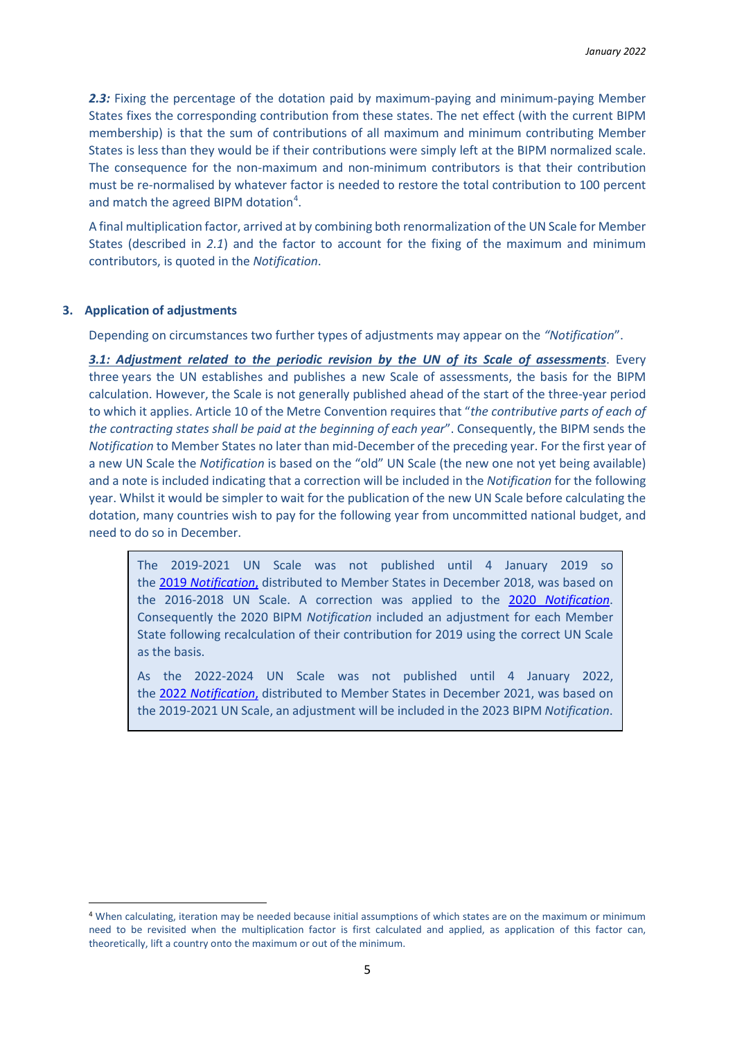2.3: Fixing the percentage of the dotation paid by maximum-paying and minimum-paying Member States fixes the corresponding contribution from these states. The net effect (with the current BIPM membership) is that the sum of contributions of all maximum and minimum contributing Member States is less than they would be if their contributions were simply left at the BIPM normalized scale. The consequence for the non-maximum and non-minimum contributors is that their contribution must be re-normalised by whatever factor is needed to restore the total contribution to 100 percent and match the agreed BIPM dotation<sup>[4](#page-4-0)</sup>.

A final multiplication factor, arrived at by combining both renormalization of the UN Scale for Member States (described in *2.1*) and the factor to account for the fixing of the maximum and minimum contributors, is quoted in the *Notification*.

## **3. Application of adjustments**

Depending on circumstances two further types of adjustments may appear on the *"Notification*".

*3.1: Adjustment related to the periodic revision by the UN of its Scale of assessments*. Every three years the UN establishes and publishes a new Scale of assessments, the basis for the BIPM calculation. However, the Scale is not generally published ahead of the start of the three-year period to which it applies. Article 10 of the Metre Convention requires that "*the contributive parts of each of the contracting states shall be paid at the beginning of each year*". Consequently, the BIPM sends the *Notification* to Member States no later than mid-December of the preceding year. For the first year of a new UN Scale the *Notification* is based on the "old" UN Scale (the new one not yet being available) and a note is included indicating that a correction will be included in the *Notification* for the following year. Whilst it would be simpler to wait for the publication of the new UN Scale before calculating the dotation, many countries wish to pay for the following year from uncommitted national budget, and need to do so in December.

The 2019-2021 UN Scale was not published until 4 January 2019 so the 2019 *[Notification](https://www.bipm.org/en/publications/notification)*, distributed to Member States in December 2018, was based on the 2016-2018 UN Scale. A correction was applied to the 2020 *[Notification](https://www.bipm.org/en/publications/notification)*. Consequently the 2020 BIPM *Notification* included an adjustment for each Member State following recalculation of their contribution for 2019 using the correct UN Scale as the basis.

As the 2022-2024 UN Scale was not published until 4 January 2022, the 2022 *[Notification](https://www.bipm.org/en/publications/notification)*, distributed to Member States in December 2021, was based on the 2019-2021 UN Scale, an adjustment will be included in the 2023 BIPM *Notification*.

<span id="page-4-0"></span><sup>4</sup> When calculating, iteration may be needed because initial assumptions of which states are on the maximum or minimum need to be revisited when the multiplication factor is first calculated and applied, as application of this factor can, theoretically, lift a country onto the maximum or out of the minimum.